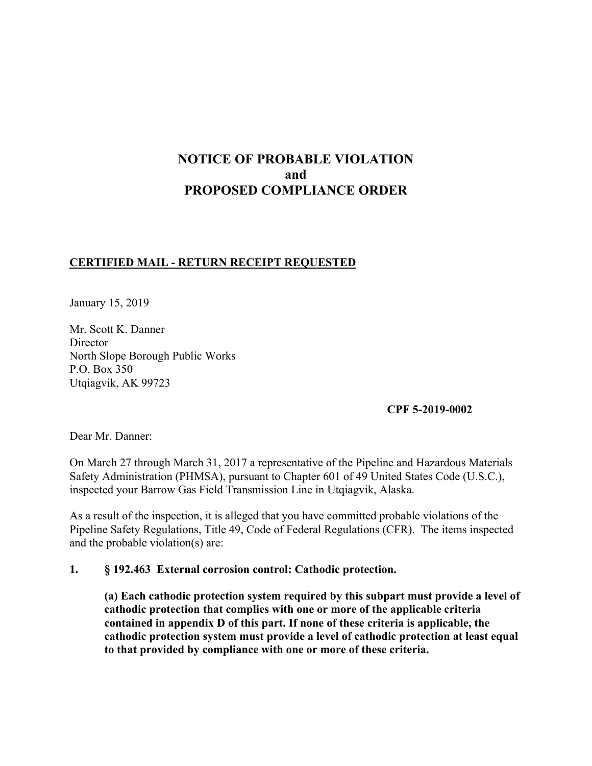# **NOTICE OF PROBABLE VIOLATION and PROPOSED COMPLIANCE ORDER**

### **CERTIFIED MAIL - RETURN RECEIPT REQUESTED**

January 15, 2019

Mr. Scott K. Danner **Director** North Slope Borough Public Works P.O. Box 350 Utqiagvik, AK 99723

**CPF 5-2019-0002**

Dear Mr. Danner:

On March 27 through March 31, 2017 a representative of the Pipeline and Hazardous Materials Safety Administration (PHMSA), pursuant to Chapter 601 of 49 United States Code (U.S.C.), inspected your Barrow Gas Field Transmission Line in Utqiagvik, Alaska.

As a result of the inspection, it is alleged that you have committed probable violations of the Pipeline Safety Regulations, Title 49, Code of Federal Regulations (CFR). The items inspected and the probable violation(s) are:

### **1. § 192.463 External corrosion control: Cathodic protection.**

**(a) Each cathodic protection system required by this subpart must provide a level of cathodic protection that complies with one or more of the applicable criteria contained in appendix D of this part. If none of these criteria is applicable, the cathodic protection system must provide a level of cathodic protection at least equal to that provided by compliance with one or more of these criteria.**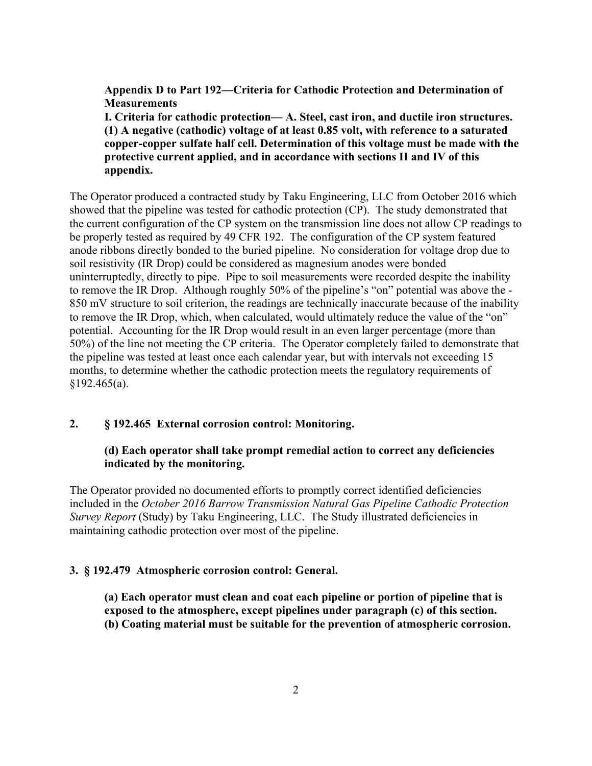**Appendix D to Part 192—Criteria for Cathodic Protection and Determination of Measurements** 

**I. Criteria for cathodic protection— A. Steel, cast iron, and ductile iron structures. (1) A negative (cathodic) voltage of at least 0.85 volt, with reference to a saturated copper-copper sulfate half cell. Determination of this voltage must be made with the protective current applied, and in accordance with sections II and IV of this appendix.**

The Operator produced a contracted study by Taku Engineering, LLC from October 2016 which showed that the pipeline was tested for cathodic protection (CP). The study demonstrated that the current configuration of the CP system on the transmission line does not allow CP readings to be properly tested as required by 49 CFR 192. The configuration of the CP system featured anode ribbons directly bonded to the buried pipeline. No consideration for voltage drop due to soil resistivity (IR Drop) could be considered as magnesium anodes were bonded uninterruptedly, directly to pipe. Pipe to soil measurements were recorded despite the inability to remove the IR Drop. Although roughly 50% of the pipeline's "on" potential was above the - 850 mV structure to soil criterion, the readings are technically inaccurate because of the inability to remove the IR Drop, which, when calculated, would ultimately reduce the value of the "on" potential. Accounting for the IR Drop would result in an even larger percentage (more than 50%) of the line not meeting the CP criteria. The Operator completely failed to demonstrate that the pipeline was tested at least once each calendar year, but with intervals not exceeding 15 months, to determine whether the cathodic protection meets the regulatory requirements of  $$192.465(a).$ 

#### **2. § 192.465 External corrosion control: Monitoring.**

### **(d) Each operator shall take prompt remedial action to correct any deficiencies indicated by the monitoring.**

The Operator provided no documented efforts to promptly correct identified deficiencies included in the *October 2016 Barrow Transmission Natural Gas Pipeline Cathodic Protection Survey Report* (Study) by Taku Engineering, LLC. The Study illustrated deficiencies in maintaining cathodic protection over most of the pipeline.

#### **3. § 192.479 Atmospheric corrosion control: General.**

**(a) Each operator must clean and coat each pipeline or portion of pipeline that is exposed to the atmosphere, except pipelines under paragraph (c) of this section. (b) Coating material must be suitable for the prevention of atmospheric corrosion.**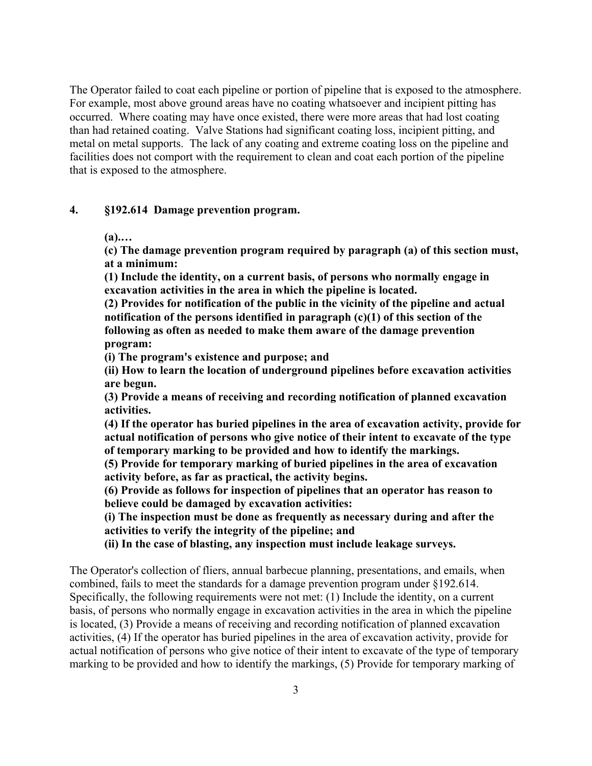The Operator failed to coat each pipeline or portion of pipeline that is exposed to the atmosphere. For example, most above ground areas have no coating whatsoever and incipient pitting has occurred. Where coating may have once existed, there were more areas that had lost coating than had retained coating. Valve Stations had significant coating loss, incipient pitting, and metal on metal supports. The lack of any coating and extreme coating loss on the pipeline and facilities does not comport with the requirement to clean and coat each portion of the pipeline that is exposed to the atmosphere.

#### **4. §192.614 Damage prevention program.**

**(a).…** 

**(c) The damage prevention program required by paragraph (a) of this section must, at a minimum:** 

**(1) Include the identity, on a current basis, of persons who normally engage in excavation activities in the area in which the pipeline is located.**

**(2) Provides for notification of the public in the vicinity of the pipeline and actual notification of the persons identified in paragraph (c)(1) of this section of the following as often as needed to make them aware of the damage prevention program:** 

**(i) The program's existence and purpose; and** 

**(ii) How to learn the location of underground pipelines before excavation activities are begun.** 

**(3) Provide a means of receiving and recording notification of planned excavation activities.**

**(4) If the operator has buried pipelines in the area of excavation activity, provide for actual notification of persons who give notice of their intent to excavate of the type of temporary marking to be provided and how to identify the markings.** 

**(5) Provide for temporary marking of buried pipelines in the area of excavation activity before, as far as practical, the activity begins.** 

**(6) Provide as follows for inspection of pipelines that an operator has reason to believe could be damaged by excavation activities:** 

**(i) The inspection must be done as frequently as necessary during and after the activities to verify the integrity of the pipeline; and** 

**(ii) In the case of blasting, any inspection must include leakage surveys.** 

The Operator's collection of fliers, annual barbecue planning, presentations, and emails, when combined, fails to meet the standards for a damage prevention program under §192.614. Specifically, the following requirements were not met: (1) Include the identity, on a current basis, of persons who normally engage in excavation activities in the area in which the pipeline is located, (3) Provide a means of receiving and recording notification of planned excavation activities, (4) If the operator has buried pipelines in the area of excavation activity, provide for actual notification of persons who give notice of their intent to excavate of the type of temporary marking to be provided and how to identify the markings, (5) Provide for temporary marking of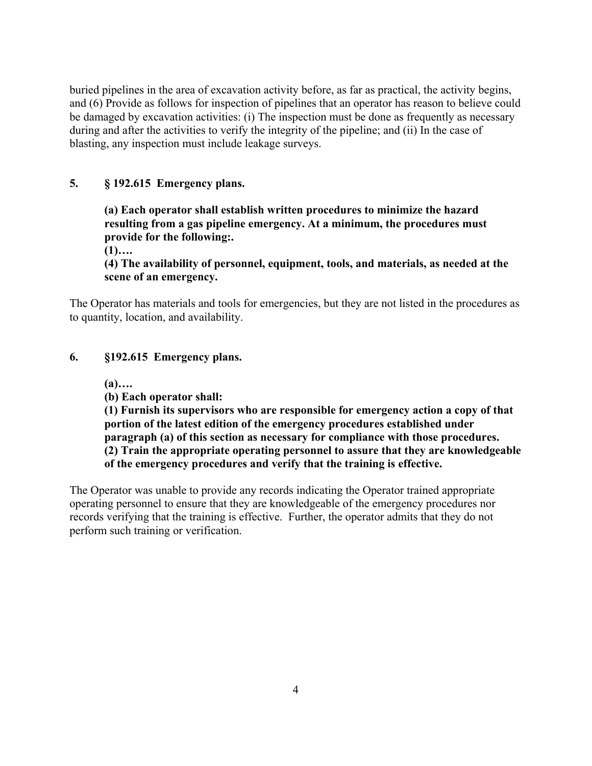buried pipelines in the area of excavation activity before, as far as practical, the activity begins, and (6) Provide as follows for inspection of pipelines that an operator has reason to believe could be damaged by excavation activities: (i) The inspection must be done as frequently as necessary during and after the activities to verify the integrity of the pipeline; and (ii) In the case of blasting, any inspection must include leakage surveys.

### **5. § 192.615 Emergency plans.**

**(a) Each operator shall establish written procedures to minimize the hazard resulting from a gas pipeline emergency. At a minimum, the procedures must provide for the following:.** 

**(1)….** 

**(4) The availability of personnel, equipment, tools, and materials, as needed at the scene of an emergency.**

The Operator has materials and tools for emergencies, but they are not listed in the procedures as to quantity, location, and availability.

### **6. §192.615 Emergency plans.**

**(a)….**

**(b) Each operator shall:**

**(1) Furnish its supervisors who are responsible for emergency action a copy of that portion of the latest edition of the emergency procedures established under paragraph (a) of this section as necessary for compliance with those procedures. (2) Train the appropriate operating personnel to assure that they are knowledgeable of the emergency procedures and verify that the training is effective.** 

The Operator was unable to provide any records indicating the Operator trained appropriate operating personnel to ensure that they are knowledgeable of the emergency procedures nor records verifying that the training is effective. Further, the operator admits that they do not perform such training or verification.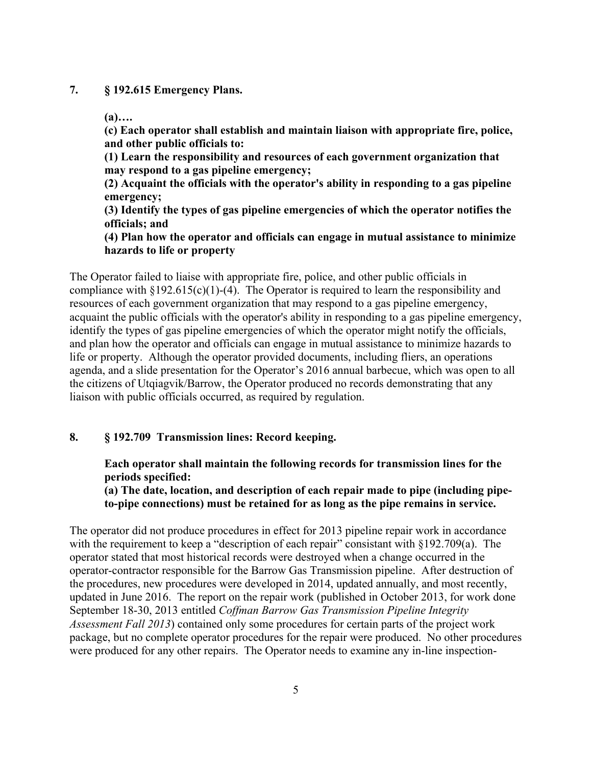#### **7. § 192.615 Emergency Plans.**

**(a)….** 

**(c) Each operator shall establish and maintain liaison with appropriate fire, police, and other public officials to:** 

**(1) Learn the responsibility and resources of each government organization that may respond to a gas pipeline emergency;** 

**(2) Acquaint the officials with the operator's ability in responding to a gas pipeline emergency;** 

**(3) Identify the types of gas pipeline emergencies of which the operator notifies the officials; and** 

**(4) Plan how the operator and officials can engage in mutual assistance to minimize hazards to life or property** 

The Operator failed to liaise with appropriate fire, police, and other public officials in compliance with  $\S 192.615(c)(1)$ -(4). The Operator is required to learn the responsibility and resources of each government organization that may respond to a gas pipeline emergency, acquaint the public officials with the operator's ability in responding to a gas pipeline emergency, identify the types of gas pipeline emergencies of which the operator might notify the officials, and plan how the operator and officials can engage in mutual assistance to minimize hazards to life or property. Although the operator provided documents, including fliers, an operations agenda, and a slide presentation for the Operator's 2016 annual barbecue, which was open to all the citizens of Utqiagvik/Barrow, the Operator produced no records demonstrating that any liaison with public officials occurred, as required by regulation.

### **8. § 192.709 Transmission lines: Record keeping.**

**Each operator shall maintain the following records for transmission lines for the periods specified:** 

**(a) The date, location, and description of each repair made to pipe (including pipeto-pipe connections) must be retained for as long as the pipe remains in service.**

The operator did not produce procedures in effect for 2013 pipeline repair work in accordance with the requirement to keep a "description of each repair" consistant with §192.709(a). The operator stated that most historical records were destroyed when a change occurred in the operator-contractor responsible for the Barrow Gas Transmission pipeline. After destruction of the procedures, new procedures were developed in 2014, updated annually, and most recently, updated in June 2016. The report on the repair work (published in October 2013, for work done September 18-30, 2013 entitled *Coffman Barrow Gas Transmission Pipeline Integrity Assessment Fall 2013*) contained only some procedures for certain parts of the project work package, but no complete operator procedures for the repair were produced. No other procedures were produced for any other repairs. The Operator needs to examine any in-line inspection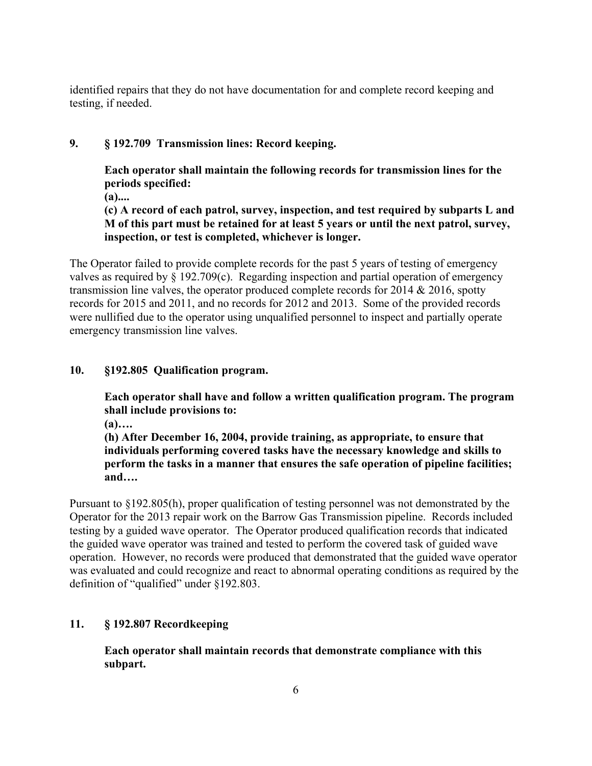identified repairs that they do not have documentation for and complete record keeping and testing, if needed.

## **9. § 192.709 Transmission lines: Record keeping.**

**Each operator shall maintain the following records for transmission lines for the periods specified:** 

**(a)....** 

**(c) A record of each patrol, survey, inspection, and test required by subparts L and M of this part must be retained for at least 5 years or until the next patrol, survey, inspection, or test is completed, whichever is longer.** 

The Operator failed to provide complete records for the past 5 years of testing of emergency valves as required by § 192.709(c). Regarding inspection and partial operation of emergency transmission line valves, the operator produced complete records for 2014 & 2016, spotty records for 2015 and 2011, and no records for 2012 and 2013. Some of the provided records were nullified due to the operator using unqualified personnel to inspect and partially operate emergency transmission line valves.

### **10. §192.805 Qualification program.**

**Each operator shall have and follow a written qualification program. The program shall include provisions to:** 

**(a)….** 

**(h) After December 16, 2004, provide training, as appropriate, to ensure that individuals performing covered tasks have the necessary knowledge and skills to perform the tasks in a manner that ensures the safe operation of pipeline facilities; and….** 

Pursuant to §192.805(h), proper qualification of testing personnel was not demonstrated by the Operator for the 2013 repair work on the Barrow Gas Transmission pipeline. Records included testing by a guided wave operator. The Operator produced qualification records that indicated the guided wave operator was trained and tested to perform the covered task of guided wave operation. However, no records were produced that demonstrated that the guided wave operator was evaluated and could recognize and react to abnormal operating conditions as required by the definition of "qualified" under §192.803.

### **11. § 192.807 Recordkeeping**

**Each operator shall maintain records that demonstrate compliance with this subpart.**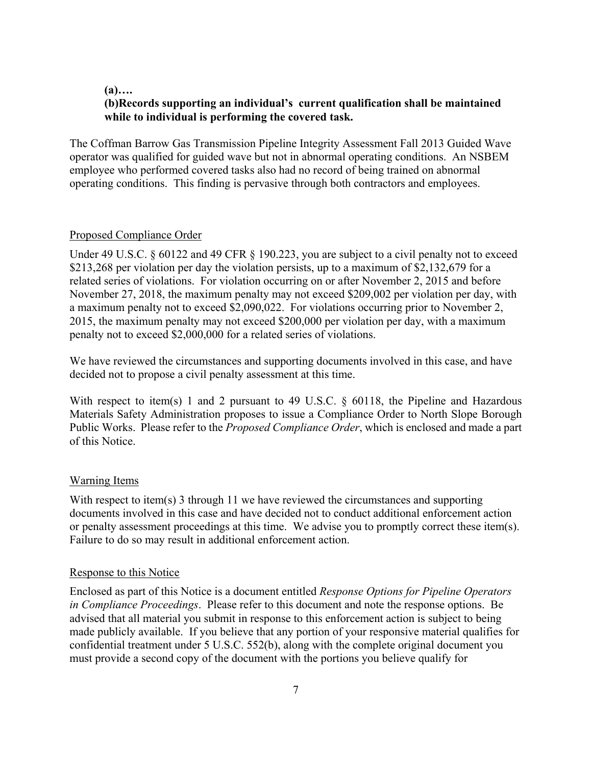#### **(a)….**

### **(b)Records supporting an individual's current qualification shall be maintained while to individual is performing the covered task.**

The Coffman Barrow Gas Transmission Pipeline Integrity Assessment Fall 2013 Guided Wave operator was qualified for guided wave but not in abnormal operating conditions. An NSBEM employee who performed covered tasks also had no record of being trained on abnormal operating conditions. This finding is pervasive through both contractors and employees.

#### Proposed Compliance Order

Under 49 U.S.C. § 60122 and 49 CFR § 190.223, you are subject to a civil penalty not to exceed \$213,268 per violation per day the violation persists, up to a maximum of \$2,132,679 for a related series of violations. For violation occurring on or after November 2, 2015 and before November 27, 2018, the maximum penalty may not exceed \$209,002 per violation per day, with a maximum penalty not to exceed \$2,090,022. For violations occurring prior to November 2, 2015, the maximum penalty may not exceed \$200,000 per violation per day, with a maximum penalty not to exceed \$2,000,000 for a related series of violations.

 decided not to propose a civil penalty assessment at this time. We have reviewed the circumstances and supporting documents involved in this case, and have

 Public Works. Please refer to the *Proposed Compliance Order*, which is enclosed and made a part With respect to item(s) 1 and 2 pursuant to 49 U.S.C. § 60118, the Pipeline and Hazardous Materials Safety Administration proposes to issue a Compliance Order to North Slope Borough of this Notice.

#### Warning Items

With respect to item(s) 3 through 11 we have reviewed the circumstances and supporting documents involved in this case and have decided not to conduct additional enforcement action or penalty assessment proceedings at this time. We advise you to promptly correct these item(s). Failure to do so may result in additional enforcement action.

#### Response to this Notice

Enclosed as part of this Notice is a document entitled *Response Options for Pipeline Operators in Compliance Proceedings*. Please refer to this document and note the response options. Be advised that all material you submit in response to this enforcement action is subject to being made publicly available. If you believe that any portion of your responsive material qualifies for confidential treatment under 5 U.S.C. 552(b), along with the complete original document you must provide a second copy of the document with the portions you believe qualify for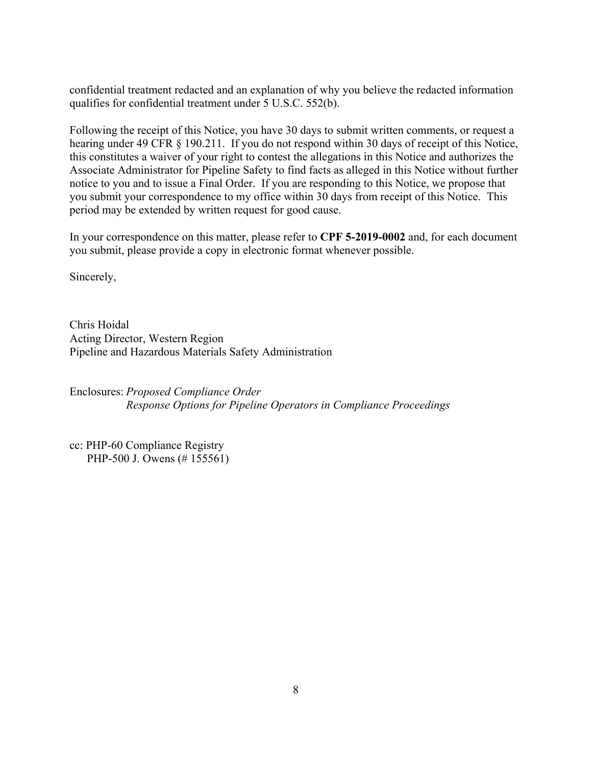confidential treatment redacted and an explanation of why you believe the redacted information qualifies for confidential treatment under 5 U.S.C. 552(b).

Following the receipt of this Notice, you have 30 days to submit written comments, or request a hearing under 49 CFR § 190.211. If you do not respond within 30 days of receipt of this Notice, this constitutes a waiver of your right to contest the allegations in this Notice and authorizes the Associate Administrator for Pipeline Safety to find facts as alleged in this Notice without further notice to you and to issue a Final Order. If you are responding to this Notice, we propose that you submit your correspondence to my office within 30 days from receipt of this Notice. This period may be extended by written request for good cause.

In your correspondence on this matter, please refer to **CPF 5-2019-0002** and, for each document you submit, please provide a copy in electronic format whenever possible.

Sincerely,

Chris Hoidal Acting Director, Western Region Pipeline and Hazardous Materials Safety Administration

Enclosures: *Proposed Compliance Order Response Options for Pipeline Operators in Compliance Proceedings* 

cc: PHP-60 Compliance Registry PHP-500 J. Owens (# 155561)